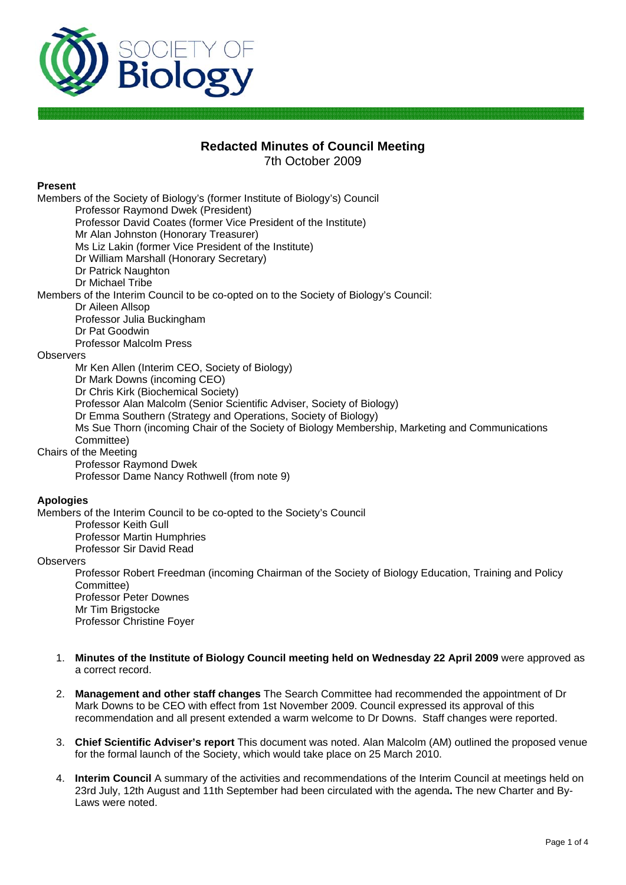

# **Redacted Minutes of Council Meeting**

7th October 2009

### **Present**

Members of the Society of Biology's (former Institute of Biology's) Council Professor Raymond Dwek (President) Professor David Coates (former Vice President of the Institute) Mr Alan Johnston (Honorary Treasurer) Ms Liz Lakin (former Vice President of the Institute) Dr William Marshall (Honorary Secretary) Dr Patrick Naughton Dr Michael Tribe Members of the Interim Council to be co-opted on to the Society of Biology's Council: Dr Aileen Allsop Professor Julia Buckingham Dr Pat Goodwin Professor Malcolm Press **Observers** Mr Ken Allen (Interim CEO, Society of Biology) Dr Mark Downs (incoming CEO) Dr Chris Kirk (Biochemical Society) Professor Alan Malcolm (Senior Scientific Adviser, Society of Biology) Dr Emma Southern (Strategy and Operations, Society of Biology) Ms Sue Thorn (incoming Chair of the Society of Biology Membership, Marketing and Communications Committee) Chairs of the Meeting Professor Raymond Dwek Professor Dame Nancy Rothwell (from note 9) **Apologies** 

Members of the Interim Council to be co-opted to the Society's Council Professor Keith Gull

Professor Martin Humphries

Professor Sir David Read

### **Observers**

Professor Robert Freedman (incoming Chairman of the Society of Biology Education, Training and Policy Committee) Professor Peter Downes Mr Tim Brigstocke Professor Christine Foyer

- 1. **Minutes of the Institute of Biology Council meeting held on Wednesday 22 April 2009** were approved as a correct record.
- 2. **Management and other staff changes** The Search Committee had recommended the appointment of Dr Mark Downs to be CEO with effect from 1st November 2009. Council expressed its approval of this recommendation and all present extended a warm welcome to Dr Downs. Staff changes were reported.
- 3. **Chief Scientific Adviser's report** This document was noted. Alan Malcolm (AM) outlined the proposed venue for the formal launch of the Society, which would take place on 25 March 2010.
- 4. **Interim Council** A summary of the activities and recommendations of the Interim Council at meetings held on 23rd July, 12th August and 11th September had been circulated with the agenda**.** The new Charter and By-Laws were noted.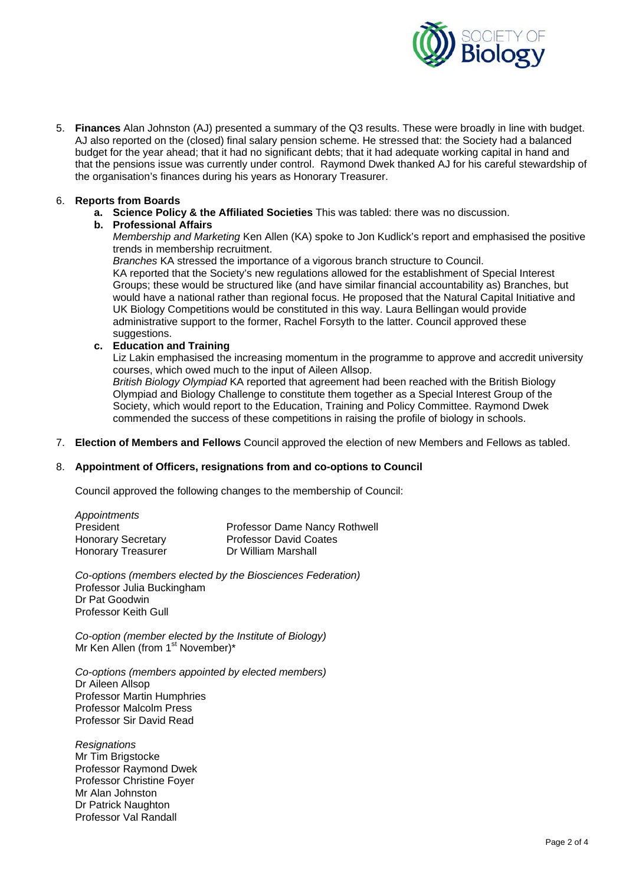

5. **Finances** Alan Johnston (AJ) presented a summary of the Q3 results. These were broadly in line with budget. AJ also reported on the (closed) final salary pension scheme. He stressed that: the Society had a balanced budget for the year ahead; that it had no significant debts; that it had adequate working capital in hand and that the pensions issue was currently under control. Raymond Dwek thanked AJ for his careful stewardship of the organisation's finances during his years as Honorary Treasurer.

#### 6. **Reports from Boards**

**a. Science Policy & the Affiliated Societies** This was tabled: there was no discussion.

### **b. Professional Affairs**

*Membership and Marketing* Ken Allen (KA) spoke to Jon Kudlick's report and emphasised the positive trends in membership recruitment.

*Branches* KA stressed the importance of a vigorous branch structure to Council. KA reported that the Society's new regulations allowed for the establishment of Special Interest Groups; these would be structured like (and have similar financial accountability as) Branches, but would have a national rather than regional focus. He proposed that the Natural Capital Initiative and UK Biology Competitions would be constituted in this way. Laura Bellingan would provide administrative support to the former, Rachel Forsyth to the latter. Council approved these suggestions.

### **c. Education and Training**

Liz Lakin emphasised the increasing momentum in the programme to approve and accredit university courses, which owed much to the input of Aileen Allsop.

*British Biology Olympiad* KA reported that agreement had been reached with the British Biology Olympiad and Biology Challenge to constitute them together as a Special Interest Group of the Society, which would report to the Education, Training and Policy Committee. Raymond Dwek commended the success of these competitions in raising the profile of biology in schools.

7. **Election of Members and Fellows** Council approved the election of new Members and Fellows as tabled.

#### 8. **Appointment of Officers, resignations from and co-options to Council**

Council approved the following changes to the membership of Council:

| Appointments              |                               |
|---------------------------|-------------------------------|
| President                 | Professor Dame Nancy Rothwell |
| <b>Honorary Secretary</b> | <b>Professor David Coates</b> |
| <b>Honorary Treasurer</b> | Dr William Marshall           |

*Co-options (members elected by the Biosciences Federation)*  Professor Julia Buckingham Dr Pat Goodwin Professor Keith Gull

*Co-option (member elected by the Institute of Biology)*  Mr Ken Allen (from 1<sup>st</sup> November)\*

*Co-options (members appointed by elected members)*  Dr Aileen Allsop Professor Martin Humphries Professor Malcolm Press Professor Sir David Read

*Resignations*  Mr Tim Brigstocke Professor Raymond Dwek Professor Christine Foyer Mr Alan Johnston Dr Patrick Naughton Professor Val Randall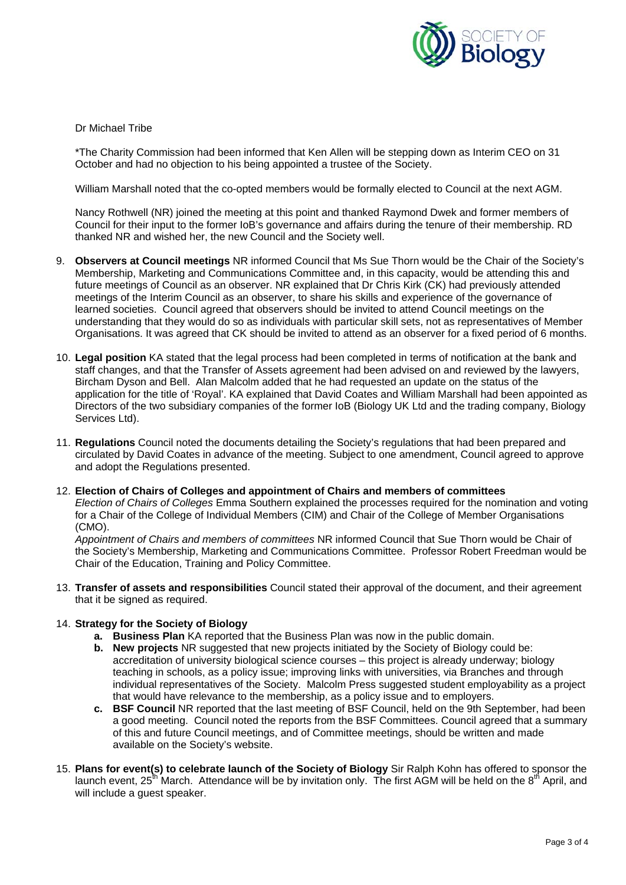

### Dr Michael Tribe

\*The Charity Commission had been informed that Ken Allen will be stepping down as Interim CEO on 31 October and had no objection to his being appointed a trustee of the Society.

William Marshall noted that the co-opted members would be formally elected to Council at the next AGM.

Nancy Rothwell (NR) joined the meeting at this point and thanked Raymond Dwek and former members of Council for their input to the former IoB's governance and affairs during the tenure of their membership. RD thanked NR and wished her, the new Council and the Society well.

- 9. **Observers at Council meetings** NR informed Council that Ms Sue Thorn would be the Chair of the Society's Membership, Marketing and Communications Committee and, in this capacity, would be attending this and future meetings of Council as an observer. NR explained that Dr Chris Kirk (CK) had previously attended meetings of the Interim Council as an observer, to share his skills and experience of the governance of learned societies. Council agreed that observers should be invited to attend Council meetings on the understanding that they would do so as individuals with particular skill sets, not as representatives of Member Organisations. It was agreed that CK should be invited to attend as an observer for a fixed period of 6 months.
- 10. **Legal position** KA stated that the legal process had been completed in terms of notification at the bank and staff changes, and that the Transfer of Assets agreement had been advised on and reviewed by the lawyers, Bircham Dyson and Bell. Alan Malcolm added that he had requested an update on the status of the application for the title of 'Royal'. KA explained that David Coates and William Marshall had been appointed as Directors of the two subsidiary companies of the former IoB (Biology UK Ltd and the trading company, Biology Services Ltd).
- 11. **Regulations** Council noted the documents detailing the Society's regulations that had been prepared and circulated by David Coates in advance of the meeting. Subject to one amendment, Council agreed to approve and adopt the Regulations presented.
- 12. **Election of Chairs of Colleges and appointment of Chairs and members of committees** *Election of Chairs of Colleges* Emma Southern explained the processes required for the nomination and voting for a Chair of the College of Individual Members (CIM) and Chair of the College of Member Organisations (CMO).

*Appointment of Chairs and members of committees* NR informed Council that Sue Thorn would be Chair of the Society's Membership, Marketing and Communications Committee. Professor Robert Freedman would be Chair of the Education, Training and Policy Committee.

13. **Transfer of assets and responsibilities** Council stated their approval of the document, and their agreement that it be signed as required.

### 14. **Strategy for the Society of Biology**

- **a. Business Plan** KA reported that the Business Plan was now in the public domain.
- **b. New projects** NR suggested that new projects initiated by the Society of Biology could be: accreditation of university biological science courses – this project is already underway; biology teaching in schools, as a policy issue; improving links with universities, via Branches and through individual representatives of the Society. Malcolm Press suggested student employability as a project that would have relevance to the membership, as a policy issue and to employers.
- **c. BSF Council** NR reported that the last meeting of BSF Council, held on the 9th September, had been a good meeting. Council noted the reports from the BSF Committees. Council agreed that a summary of this and future Council meetings, and of Committee meetings, should be written and made available on the Society's website.
- 15. **Plans for event(s) to celebrate launch of the Society of Biology** Sir Ralph Kohn has offered to sponsor the launch event,  $25<sup>th</sup>$  March. Attendance will be by invitation only. The first AGM will be held on the  $8<sup>th</sup>$  April, and will include a guest speaker.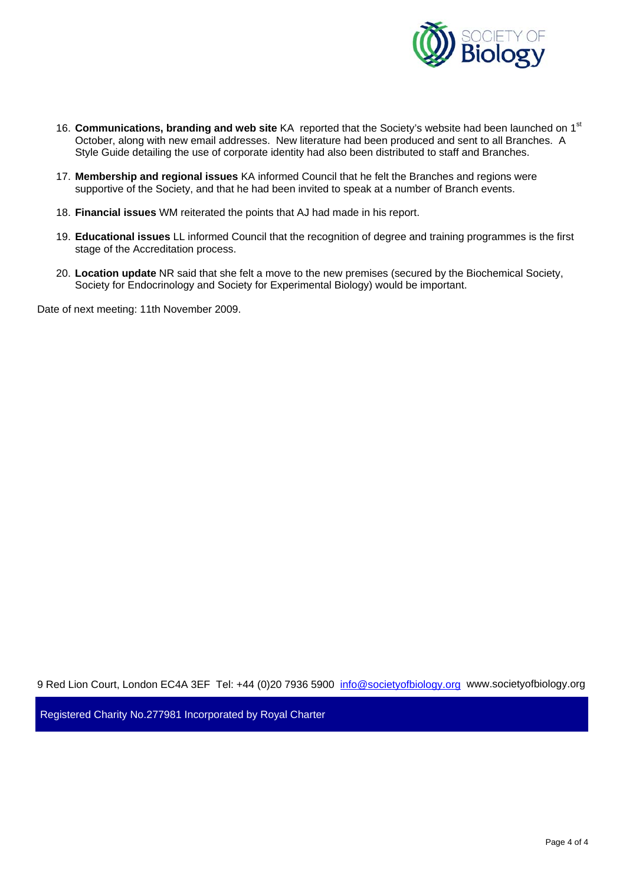

- 16. **Communications, branding and web site** KA reported that the Society's website had been launched on 1st October, along with new email addresses. New literature had been produced and sent to all Branches. A Style Guide detailing the use of corporate identity had also been distributed to staff and Branches.
- 17. **Membership and regional issues** KA informed Council that he felt the Branches and regions were supportive of the Society, and that he had been invited to speak at a number of Branch events.
- 18. **Financial issues** WM reiterated the points that AJ had made in his report.
- 19. **Educational issues** LL informed Council that the recognition of degree and training programmes is the first stage of the Accreditation process.
- 20. **Location update** NR said that she felt a move to the new premises (secured by the Biochemical Society, Society for Endocrinology and Society for Experimental Biology) would be important.

Date of next meeting: 11th November 2009.

9 Red Lion Court, London EC4A 3EF Tel: +44 (0)20 7936 5900 info@societyofbiology.org www.societyofbiology.org

Registered Charity No.277981 Incorporated by Royal Charter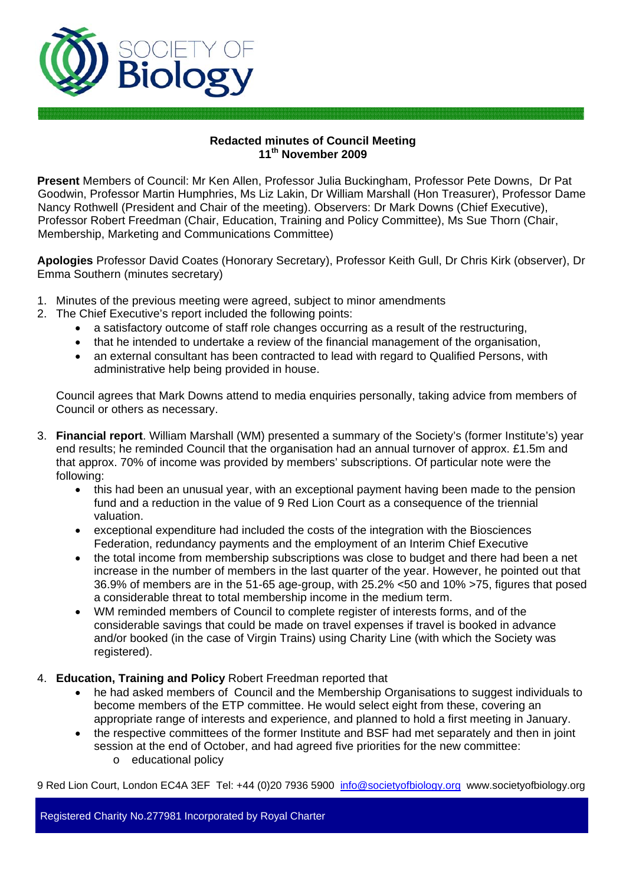

## **Redacted minutes of Council Meeting 11th November 2009**

**Present** Members of Council: Mr Ken Allen, Professor Julia Buckingham, Professor Pete Downs, Dr Pat Goodwin, Professor Martin Humphries, Ms Liz Lakin, Dr William Marshall (Hon Treasurer), Professor Dame Nancy Rothwell (President and Chair of the meeting). Observers: Dr Mark Downs (Chief Executive), Professor Robert Freedman (Chair, Education, Training and Policy Committee), Ms Sue Thorn (Chair, Membership, Marketing and Communications Committee)

**Apologies** Professor David Coates (Honorary Secretary), Professor Keith Gull, Dr Chris Kirk (observer), Dr Emma Southern (minutes secretary)

- 1. Minutes of the previous meeting were agreed, subject to minor amendments
- 2. The Chief Executive's report included the following points:
	- a satisfactory outcome of staff role changes occurring as a result of the restructuring,
	- that he intended to undertake a review of the financial management of the organisation,
	- an external consultant has been contracted to lead with regard to Qualified Persons, with administrative help being provided in house.

Council agrees that Mark Downs attend to media enquiries personally, taking advice from members of Council or others as necessary.

- 3. **Financial report**. William Marshall (WM) presented a summary of the Society's (former Institute's) year end results; he reminded Council that the organisation had an annual turnover of approx. £1.5m and that approx. 70% of income was provided by members' subscriptions. Of particular note were the following:
	- this had been an unusual year, with an exceptional payment having been made to the pension fund and a reduction in the value of 9 Red Lion Court as a consequence of the triennial valuation.
	- exceptional expenditure had included the costs of the integration with the Biosciences Federation, redundancy payments and the employment of an Interim Chief Executive
	- the total income from membership subscriptions was close to budget and there had been a net increase in the number of members in the last quarter of the year. However, he pointed out that 36.9% of members are in the 51-65 age-group, with 25.2% <50 and 10% >75, figures that posed a considerable threat to total membership income in the medium term.
	- WM reminded members of Council to complete register of interests forms, and of the considerable savings that could be made on travel expenses if travel is booked in advance and/or booked (in the case of Virgin Trains) using Charity Line (with which the Society was registered).
- 4. **Education, Training and Policy** Robert Freedman reported that
	- he had asked members of Council and the Membership Organisations to suggest individuals to become members of the ETP committee. He would select eight from these, covering an appropriate range of interests and experience, and planned to hold a first meeting in January.
	- the respective committees of the former Institute and BSF had met separately and then in joint session at the end of October, and had agreed five priorities for the new committee:
		- o educational policy

9 Red Lion Court, London EC4A 3EF Tel: +44 (0)20 7936 5900 info@societyofbiology.org www.societyofbiology.org

Registered Charity No.277981 Incorporated by Royal Charter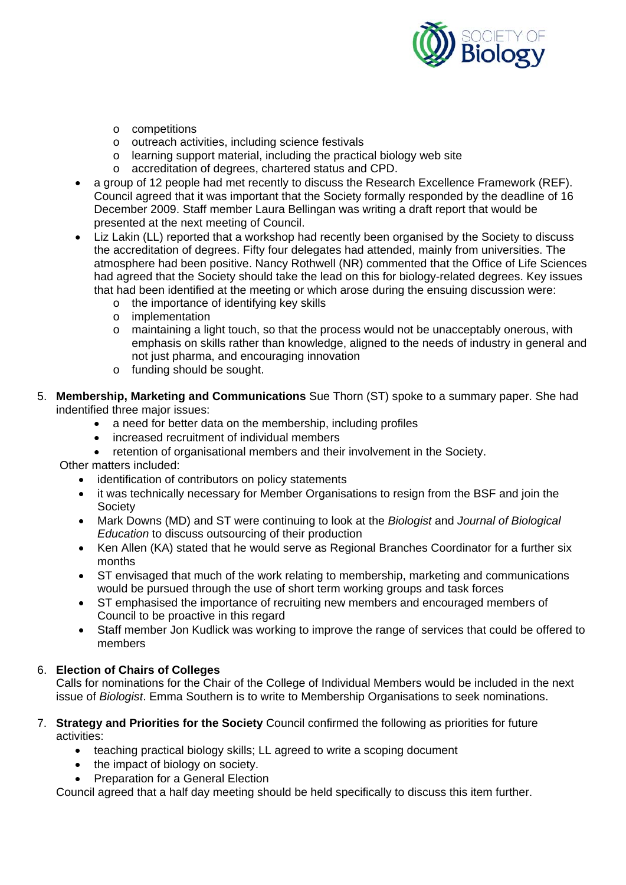

- o competitions
- o outreach activities, including science festivals
- o learning support material, including the practical biology web site
- o accreditation of degrees, chartered status and CPD.
- a group of 12 people had met recently to discuss the Research Excellence Framework (REF). Council agreed that it was important that the Society formally responded by the deadline of 16 December 2009. Staff member Laura Bellingan was writing a draft report that would be presented at the next meeting of Council.
- Liz Lakin (LL) reported that a workshop had recently been organised by the Society to discuss the accreditation of degrees. Fifty four delegates had attended, mainly from universities. The atmosphere had been positive. Nancy Rothwell (NR) commented that the Office of Life Sciences had agreed that the Society should take the lead on this for biology-related degrees. Key issues that had been identified at the meeting or which arose during the ensuing discussion were:
	- o the importance of identifying key skills
	- o implementation
	- $\circ$  maintaining a light touch, so that the process would not be unacceptably onerous, with emphasis on skills rather than knowledge, aligned to the needs of industry in general and not just pharma, and encouraging innovation
	- o funding should be sought.
- 5. **Membership, Marketing and Communications** Sue Thorn (ST) spoke to a summary paper. She had indentified three major issues:
	- a need for better data on the membership, including profiles
	- increased recruitment of individual members
	- retention of organisational members and their involvement in the Society.

Other matters included:

- identification of contributors on policy statements
- it was technically necessary for Member Organisations to resign from the BSF and join the Society
- Mark Downs (MD) and ST were continuing to look at the *Biologist* and *Journal of Biological Education* to discuss outsourcing of their production
- Ken Allen (KA) stated that he would serve as Regional Branches Coordinator for a further six months
- ST envisaged that much of the work relating to membership, marketing and communications would be pursued through the use of short term working groups and task forces
- ST emphasised the importance of recruiting new members and encouraged members of Council to be proactive in this regard
- Staff member Jon Kudlick was working to improve the range of services that could be offered to members

# 6. **Election of Chairs of Colleges**

Calls for nominations for the Chair of the College of Individual Members would be included in the next issue of *Biologist*. Emma Southern is to write to Membership Organisations to seek nominations.

- 7. **Strategy and Priorities for the Society** Council confirmed the following as priorities for future activities:
	- teaching practical biology skills; LL agreed to write a scoping document
	- the impact of biology on society.
	- Preparation for a General Election

Council agreed that a half day meeting should be held specifically to discuss this item further.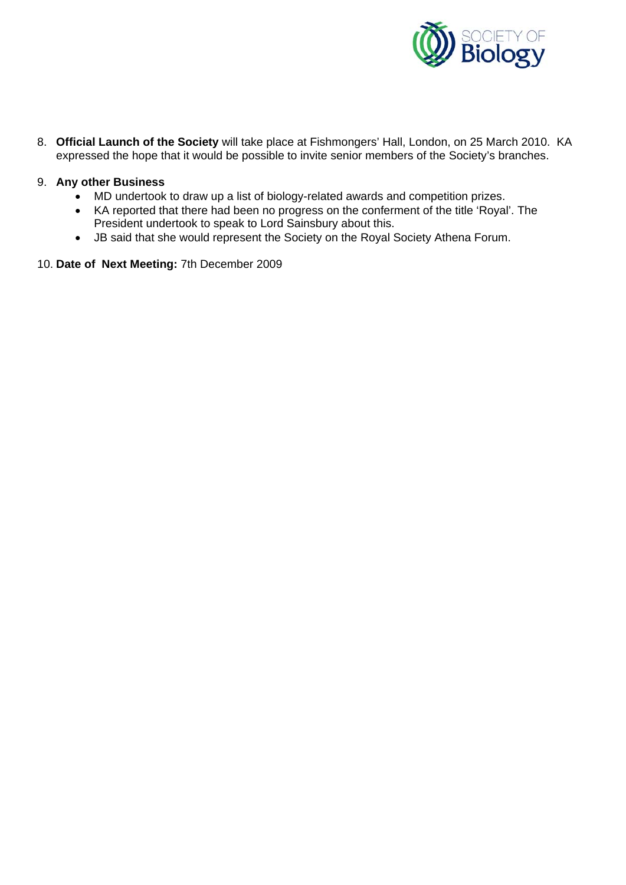

8. **Official Launch of the Society** will take place at Fishmongers' Hall, London, on 25 March 2010. KA expressed the hope that it would be possible to invite senior members of the Society's branches.

## 9. **Any other Business**

- MD undertook to draw up a list of biology-related awards and competition prizes.
- KA reported that there had been no progress on the conferment of the title 'Royal'. The President undertook to speak to Lord Sainsbury about this.
- JB said that she would represent the Society on the Royal Society Athena Forum.
- 10. **Date of Next Meeting:** 7th December 2009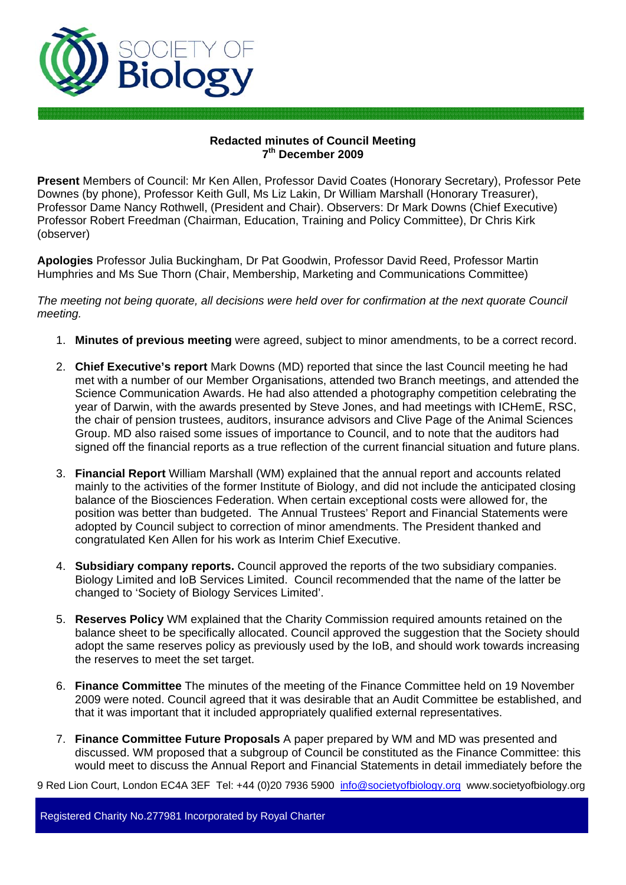

## **Redacted minutes of Council Meeting 7th December 2009**

**Present** Members of Council: Mr Ken Allen, Professor David Coates (Honorary Secretary), Professor Pete Downes (by phone), Professor Keith Gull, Ms Liz Lakin, Dr William Marshall (Honorary Treasurer), Professor Dame Nancy Rothwell, (President and Chair). Observers: Dr Mark Downs (Chief Executive) Professor Robert Freedman (Chairman, Education, Training and Policy Committee), Dr Chris Kirk (observer)

**Apologies** Professor Julia Buckingham, Dr Pat Goodwin, Professor David Reed, Professor Martin Humphries and Ms Sue Thorn (Chair, Membership, Marketing and Communications Committee)

*The meeting not being quorate, all decisions were held over for confirmation at the next quorate Council meeting.* 

- 1. **Minutes of previous meeting** were agreed, subject to minor amendments, to be a correct record.
- 2. **Chief Executive's report** Mark Downs (MD) reported that since the last Council meeting he had met with a number of our Member Organisations, attended two Branch meetings, and attended the Science Communication Awards. He had also attended a photography competition celebrating the year of Darwin, with the awards presented by Steve Jones, and had meetings with ICHemE, RSC, the chair of pension trustees, auditors, insurance advisors and Clive Page of the Animal Sciences Group. MD also raised some issues of importance to Council, and to note that the auditors had signed off the financial reports as a true reflection of the current financial situation and future plans.
- 3. **Financial Report** William Marshall (WM) explained that the annual report and accounts related mainly to the activities of the former Institute of Biology, and did not include the anticipated closing balance of the Biosciences Federation. When certain exceptional costs were allowed for, the position was better than budgeted. The Annual Trustees' Report and Financial Statements were adopted by Council subject to correction of minor amendments. The President thanked and congratulated Ken Allen for his work as Interim Chief Executive.
- 4. **Subsidiary company reports.** Council approved the reports of the two subsidiary companies. Biology Limited and IoB Services Limited. Council recommended that the name of the latter be changed to 'Society of Biology Services Limited'.
- 5. **Reserves Policy** WM explained that the Charity Commission required amounts retained on the balance sheet to be specifically allocated. Council approved the suggestion that the Society should adopt the same reserves policy as previously used by the IoB, and should work towards increasing the reserves to meet the set target.
- 6. **Finance Committee** The minutes of the meeting of the Finance Committee held on 19 November 2009 were noted. Council agreed that it was desirable that an Audit Committee be established, and that it was important that it included appropriately qualified external representatives.
- 7. **Finance Committee Future Proposals** A paper prepared by WM and MD was presented and discussed. WM proposed that a subgroup of Council be constituted as the Finance Committee: this would meet to discuss the Annual Report and Financial Statements in detail immediately before the

9 Red Lion Court, London EC4A 3EF Tel: +44 (0)20 7936 5900 info@societyofbiology.org www.societyofbiology.org

Registered Charity No.277981 Incorporated by Royal Charter